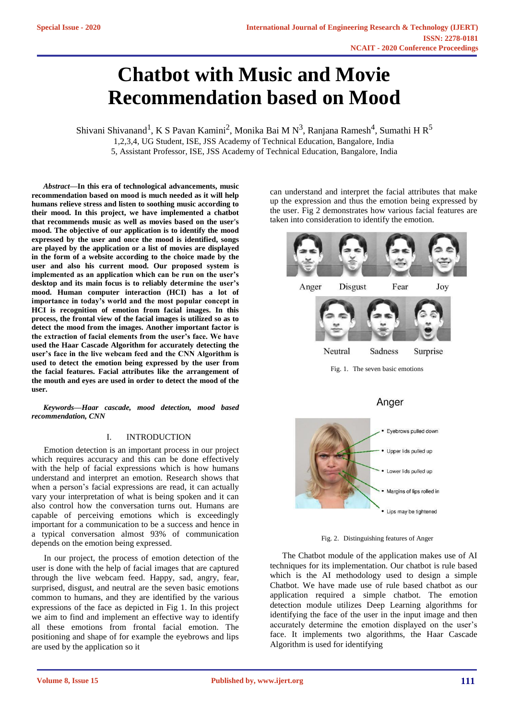# **Chatbot with Music and Movie Recommendation based on Mood**

Shivani Shivanand<sup>1</sup>, K S Pavan Kamini<sup>2</sup>, Monika Bai M N<sup>3</sup>, Ranjana Ramesh<sup>4</sup>, Sumathi H R<sup>5</sup> 1,2,3,4, UG Student, ISE, JSS Academy of Technical Education, Bangalore, India

5, Assistant Professor, ISE, JSS Academy of Technical Education, Bangalore, India

*Abstract***—In this era of technological advancements, music recommendation based on mood is much needed as it will help humans relieve stress and listen to soothing music according to their mood. In this project, we have implemented a chatbot that recommends music as well as movies based on the user's mood. The objective of our application is to identify the mood expressed by the user and once the mood is identified, songs are played by the application or a list of movies are displayed in the form of a website according to the choice made by the user and also his current mood. Our proposed system is implemented as an application which can be run on the user's desktop and its main focus is to reliably determine the user's mood. Human computer interaction (HCI) has a lot of importance in today's world and the most popular concept in HCI is recognition of emotion from facial images. In this process, the frontal view of the facial images is utilized so as to detect the mood from the images. Another important factor is the extraction of facial elements from the user's face. We have used the Haar Cascade Algorithm for accurately detecting the user's face in the live webcam feed and the CNN Algorithm is used to detect the emotion being expressed by the user from the facial features. Facial attributes like the arrangement of the mouth and eyes are used in order to detect the mood of the user.**

*Keywords—Haar cascade, mood detection, mood based recommendation, CNN*

#### I. INTRODUCTION

Emotion detection is an important process in our project which requires accuracy and this can be done effectively with the help of facial expressions which is how humans understand and interpret an emotion. Research shows that when a person's facial expressions are read, it can actually vary your interpretation of what is being spoken and it can also control how the conversation turns out. Humans are capable of perceiving emotions which is exceedingly important for a communication to be a success and hence in a typical conversation almost 93% of communication depends on the emotion being expressed.

In our project, the process of emotion detection of the user is done with the help of facial images that are captured through the live webcam feed. Happy, sad, angry, fear, surprised, disgust, and neutral are the seven basic emotions common to humans, and they are identified by the various expressions of the face as depicted in Fig 1. In this project we aim to find and implement an effective way to identify all these emotions from frontal facial emotion. The positioning and shape of for example the eyebrows and lips are used by the application so it

can understand and interpret the facial attributes that make up the expression and thus the emotion being expressed by the user. Fig 2 demonstrates how various facial features are taken into consideration to identify the emotion.



Fig. 1. The seven basic emotions

# Anger



Fig. 2. Distinguishing features of Anger

The Chatbot module of the application makes use of AI techniques for its implementation. Our chatbot is rule based which is the AI methodology used to design a simple Chatbot. We have made use of rule based chatbot as our application required a simple chatbot. The emotion detection module utilizes Deep Learning algorithms for identifying the face of the user in the input image and then accurately determine the emotion displayed on the user's face. It implements two algorithms, the Haar Cascade Algorithm is used for identifying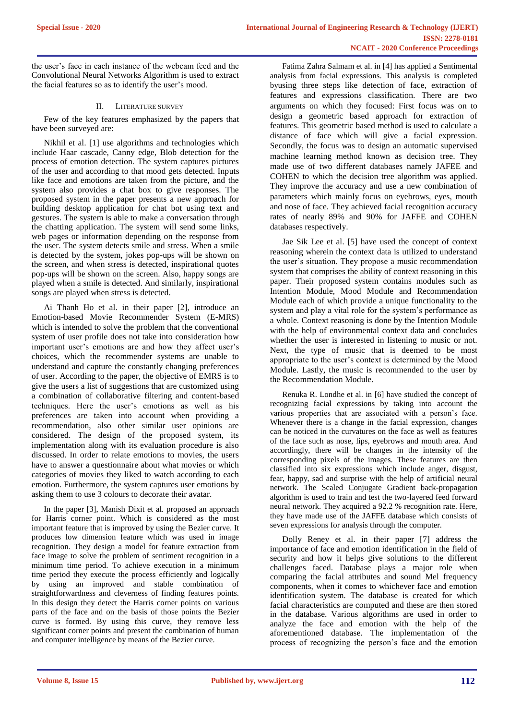the user's face in each instance of the webcam feed and the Convolutional Neural Networks Algorithm is used to extract the facial features so as to identify the user's mood.

# II. LITERATURE SURVEY

Few of the key features emphasized by the papers that have been surveyed are:

Nikhil et al. [1] use algorithms and technologies which include Haar cascade, Canny edge, Blob detection for the process of emotion detection. The system captures pictures of the user and according to that mood gets detected. Inputs like face and emotions are taken from the picture, and the system also provides a chat box to give responses. The proposed system in the paper presents a new approach for building desktop application for chat bot using text and gestures. The system is able to make a conversation through the chatting application. The system will send some links, web pages or information depending on the response from the user. The system detects smile and stress. When a smile is detected by the system, jokes pop-ups will be shown on the screen, and when stress is detected, inspirational quotes pop-ups will be shown on the screen. Also, happy songs are played when a smile is detected. And similarly, inspirational songs are played when stress is detected.

Ai Thanh Ho et al. in their paper [2], introduce an Emotion-based Movie Recommender System (E-MRS) which is intended to solve the problem that the conventional system of user profile does not take into consideration how important user's emotions are and how they affect user's choices, which the recommender systems are unable to understand and capture the constantly changing preferences of user. According to the paper, the objective of EMRS is to give the users a list of suggestions that are customized using a combination of collaborative filtering and content-based techniques. Here the user's emotions as well as his preferences are taken into account when providing a recommendation, also other similar user opinions are considered. The design of the proposed system, its implementation along with its evaluation procedure is also discussed. In order to relate emotions to movies, the users have to answer a questionnaire about what movies or which categories of movies they liked to watch according to each emotion. Furthermore, the system captures user emotions by asking them to use 3 colours to decorate their avatar.

In the paper [3], Manish Dixit et al. proposed an approach for Harris corner point. Which is considered as the most important feature that is improved by using the Bezier curve. It produces low dimension feature which was used in image recognition. They design a model for feature extraction from face image to solve the problem of sentiment recognition in a minimum time period. To achieve execution in a minimum time period they execute the process efficiently and logically by using an improved and stable combination of straightforwardness and cleverness of finding features points. In this design they detect the Harris corner points on various parts of the face and on the basis of those points the Bezier curve is formed. By using this curve, they remove less significant corner points and present the combination of human and computer intelligence by means of the Bezier curve.

Fatima Zahra Salmam et al. in [4] has applied a Sentimental analysis from facial expressions. This analysis is completed byusing three steps like detection of face, extraction of features and expressions classification. There are two arguments on which they focused: First focus was on to design a geometric based approach for extraction of features. This geometric based method is used to calculate a distance of face which will give a facial expression. Secondly, the focus was to design an automatic supervised machine learning method known as decision tree. They made use of two different databases namely JAFEE and COHEN to which the decision tree algorithm was applied. They improve the accuracy and use a new combination of parameters which mainly focus on eyebrows, eyes, mouth and nose of face. They achieved facial recognition accuracy rates of nearly 89% and 90% for JAFFE and COHEN databases respectively.

Jae Sik Lee et al. [5] have used the concept of context reasoning wherein the context data is utilized to understand the user's situation. They propose a music recommendation system that comprises the ability of context reasoning in this paper. Their proposed system contains modules such as Intention Module, Mood Module and Recommendation Module each of which provide a unique functionality to the system and play a vital role for the system's performance as a whole. Context reasoning is done by the Intention Module with the help of environmental context data and concludes whether the user is interested in listening to music or not. Next, the type of music that is deemed to be most appropriate to the user's context is determined by the Mood Module. Lastly, the music is recommended to the user by the Recommendation Module.

Renuka R. Londhe et al. in [6] have studied the concept of recognizing facial expressions by taking into account the various properties that are associated with a person's face. Whenever there is a change in the facial expression, changes can be noticed in the curvatures on the face as well as features of the face such as nose, lips, eyebrows and mouth area. And accordingly, there will be changes in the intensity of the corresponding pixels of the images. These features are then classified into six expressions which include anger, disgust, fear, happy, sad and surprise with the help of artificial neural network. The Scaled Conjugate Gradient back-propagation algorithm is used to train and test the two-layered feed forward neural network. They acquired a 92.2 % recognition rate. Here, they have made use of the JAFFE database which consists of seven expressions for analysis through the computer.

Dolly Reney et al. in their paper [7] address the importance of face and emotion identification in the field of security and how it helps give solutions to the different challenges faced. Database plays a major role when comparing the facial attributes and sound Mel frequency components, when it comes to whichever face and emotion identification system. The database is created for which facial characteristics are computed and these are then stored in the database. Various algorithms are used in order to analyze the face and emotion with the help of the aforementioned database. The implementation of the process of recognizing the person's face and the emotion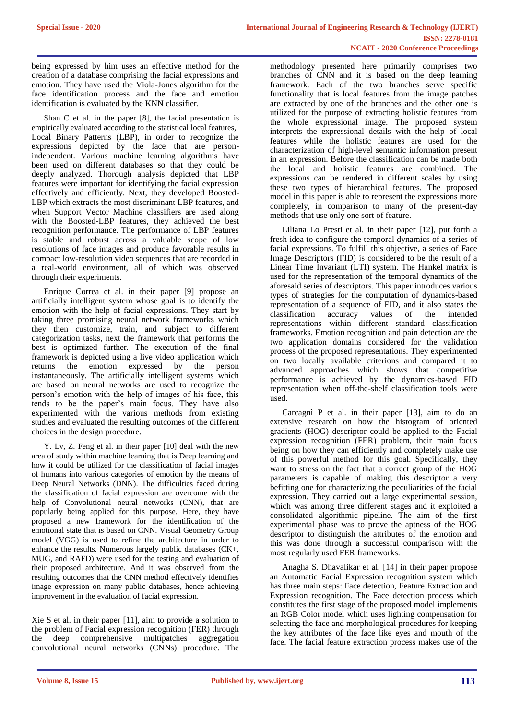being expressed by him uses an effective method for the creation of a database comprising the facial expressions and emotion. They have used the Viola-Jones algorithm for the face identification process and the face and emotion identification is evaluated by the KNN classifier.

Shan C et al. in the paper [8], the facial presentation is empirically evaluated according to the statistical local features, Local Binary Patterns (LBP), in order to recognize the expressions depicted by the face that are personindependent. Various machine learning algorithms have been used on different databases so that they could be deeply analyzed. Thorough analysis depicted that LBP features were important for identifying the facial expression effectively and efficiently. Next, they developed Boosted-LBP which extracts the most discriminant LBP features, and when Support Vector Machine classifiers are used along with the Boosted-LBP features, they achieved the best recognition performance. The performance of LBP features is stable and robust across a valuable scope of low resolutions of face images and produce favorable results in compact low-resolution video sequences that are recorded in a real-world environment, all of which was observed through their experiments.

Enrique Correa et al. in their paper [9] propose an artificially intelligent system whose goal is to identify the emotion with the help of facial expressions. They start by taking three promising neural network frameworks which they then customize, train, and subject to different categorization tasks, next the framework that performs the best is optimized further. The execution of the final framework is depicted using a live video application which returns the emotion expressed by the person instantaneously. The artificially intelligent systems which are based on neural networks are used to recognize the person's emotion with the help of images of his face, this tends to be the paper's main focus. They have also experimented with the various methods from existing studies and evaluated the resulting outcomes of the different choices in the design procedure.

Y. Lv, Z. Feng et al. in their paper [10] deal with the new area of study within machine learning that is Deep learning and how it could be utilized for the classification of facial images of humans into various categories of emotion by the means of Deep Neural Networks (DNN). The difficulties faced during the classification of facial expression are overcome with the help of Convolutional neural networks (CNN), that are popularly being applied for this purpose. Here, they have proposed a new framework for the identification of the emotional state that is based on CNN. Visual Geometry Group model (VGG) is used to refine the architecture in order to enhance the results. Numerous largely public databases (CK+, MUG, and RAFD) were used for the testing and evaluation of their proposed architecture. And it was observed from the resulting outcomes that the CNN method effectively identifies image expression on many public databases, hence achieving improvement in the evaluation of facial expression.

Xie S et al. in their paper [11], aim to provide a solution to the problem of Facial expression recognition (FER) through the deep comprehensive multipatches aggregation convolutional neural networks (CNNs) procedure. The methodology presented here primarily comprises two branches of CNN and it is based on the deep learning framework. Each of the two branches serve specific functionality that is local features from the image patches are extracted by one of the branches and the other one is utilized for the purpose of extracting holistic features from the whole expressional image. The proposed system interprets the expressional details with the help of local features while the holistic features are used for the characterization of high-level semantic information present in an expression. Before the classification can be made both the local and holistic features are combined. The expressions can be rendered in different scales by using these two types of hierarchical features. The proposed model in this paper is able to represent the expressions more completely, in comparison to many of the present-day methods that use only one sort of feature.

Liliana Lo Presti et al. in their paper [12], put forth a fresh idea to configure the temporal dynamics of a series of facial expressions. To fulfill this objective, a series of Face Image Descriptors (FID) is considered to be the result of a Linear Time Invariant (LTI) system. The Hankel matrix is used for the representation of the temporal dynamics of the aforesaid series of descriptors. This paper introduces various types of strategies for the computation of dynamics-based representation of a sequence of FID, and it also states the classification accuracy values of the intended representations within different standard classification frameworks. Emotion recognition and pain detection are the two application domains considered for the validation process of the proposed representations. They experimented on two locally available criterions and compared it to advanced approaches which shows that competitive performance is achieved by the dynamics-based FID representation when off-the-shelf classification tools were used.

Carcagnì P et al. in their paper [13], aim to do an extensive research on how the histogram of oriented gradients (HOG) descriptor could be applied to the Facial expression recognition (FER) problem, their main focus being on how they can efficiently and completely make use of this powerful method for this goal. Specifically, they want to stress on the fact that a correct group of the HOG parameters is capable of making this descriptor a very befitting one for characterizing the peculiarities of the facial expression. They carried out a large experimental session, which was among three different stages and it exploited a consolidated algorithmic pipeline. The aim of the first experimental phase was to prove the aptness of the HOG descriptor to distinguish the attributes of the emotion and this was done through a successful comparison with the most regularly used FER frameworks.

Anagha S. Dhavalikar et al. [14] in their paper propose an Automatic Facial Expression recognition system which has three main steps: Face detection, Feature Extraction and Expression recognition. The Face detection process which constitutes the first stage of the proposed model implements an RGB Color model which uses lighting compensation for selecting the face and morphological procedures for keeping the key attributes of the face like eyes and mouth of the face. The facial feature extraction process makes use of the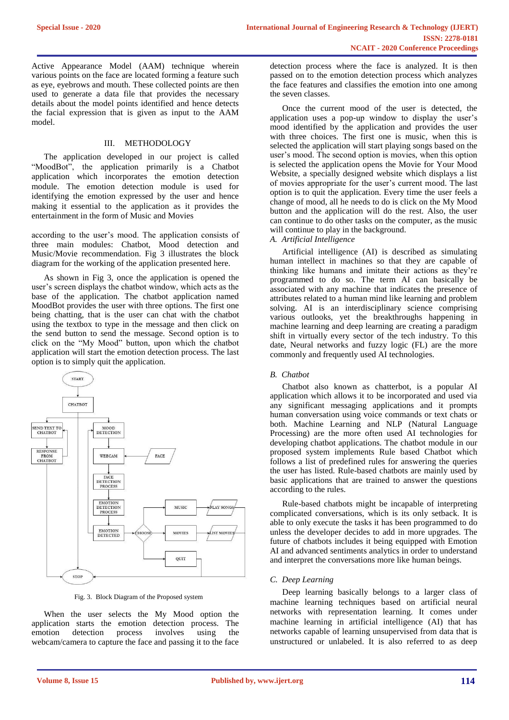Active Appearance Model (AAM) technique wherein various points on the face are located forming a feature such as eye, eyebrows and mouth. These collected points are then used to generate a data file that provides the necessary details about the model points identified and hence detects the facial expression that is given as input to the AAM model.

#### III. METHODOLOGY

The application developed in our project is called "MoodBot", the application primarily is a Chatbot application which incorporates the emotion detection module. The emotion detection module is used for identifying the emotion expressed by the user and hence making it essential to the application as it provides the entertainment in the form of Music and Movies

according to the user's mood. The application consists of three main modules: Chatbot, Mood detection and Music/Movie recommendation. Fig 3 illustrates the block diagram for the working of the application presented here.

As shown in Fig 3, once the application is opened the user's screen displays the chatbot window, which acts as the base of the application. The chatbot application named MoodBot provides the user with three options. The first one being chatting, that is the user can chat with the chatbot using the textbox to type in the message and then click on the send button to send the message. Second option is to click on the "My Mood" button, upon which the chatbot application will start the emotion detection process. The last option is to simply quit the application.



Fig. 3. Block Diagram of the Proposed system

When the user selects the My Mood option the application starts the emotion detection process. The emotion detection process involves using the webcam/camera to capture the face and passing it to the face

detection process where the face is analyzed. It is then passed on to the emotion detection process which analyzes the face features and classifies the emotion into one among the seven classes.

Once the current mood of the user is detected, the application uses a pop-up window to display the user's mood identified by the application and provides the user with three choices. The first one is music, when this is selected the application will start playing songs based on the user's mood. The second option is movies, when this option is selected the application opens the Movie for Your Mood Website, a specially designed website which displays a list of movies appropriate for the user's current mood. The last option is to quit the application. Every time the user feels a change of mood, all he needs to do is click on the My Mood button and the application will do the rest. Also, the user can continue to do other tasks on the computer, as the music will continue to play in the background.

# *A. Artificial Intelligence*

Artificial intelligence (AI) is described as simulating human intellect in machines so that they are capable of thinking like humans and imitate their actions as they're programmed to do so. The term AI can basically be associated with any machine that indicates the presence of attributes related to a human mind like learning and problem solving. AI is an interdisciplinary science comprising various outlooks, yet the breakthroughs happening in machine learning and deep learning are creating a paradigm shift in virtually every sector of the tech industry. To this date, Neural networks and fuzzy logic (FL) are the more commonly and frequently used AI technologies.

#### *B. Chatbot*

Chatbot also known as chatterbot, is a popular AI application which allows it to be incorporated and used via any significant messaging applications and it prompts human conversation using voice commands or text chats or both. Machine Learning and NLP (Natural Language Processing) are the more often used AI technologies for developing chatbot applications. The chatbot module in our proposed system implements Rule based Chatbot which follows a list of predefined rules for answering the queries the user has listed. Rule-based chatbots are mainly used by basic applications that are trained to answer the questions according to the rules.

Rule-based chatbots might be incapable of interpreting complicated conversations, which is its only setback. It is able to only execute the tasks it has been programmed to do unless the developer decides to add in more upgrades. The future of chatbots includes it being equipped with Emotion AI and advanced sentiments analytics in order to understand and interpret the conversations more like human beings.

#### *C. Deep Learning*

Deep learning basically belongs to a larger class of machine learning techniques based on artificial neural networks with representation learning. It comes under machine learning in artificial intelligence (AI) that has networks capable of learning unsupervised from data that is unstructured or unlabeled. It is also referred to as deep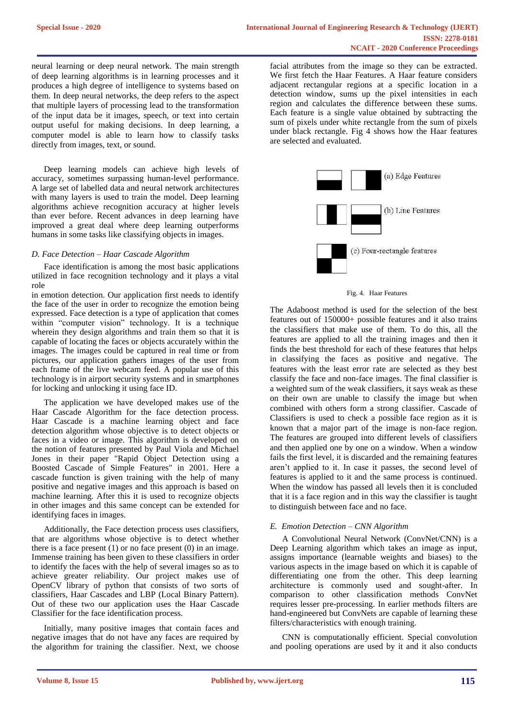neural learning or deep neural network. The main strength of deep learning algorithms is in learning processes and it produces a high degree of intelligence to systems based on them. In deep neural networks, the deep refers to the aspect that multiple layers of processing lead to the transformation of the input data be it images, speech, or text into certain output useful for making decisions. In deep learning, a computer model is able to learn how to classify tasks directly from images, text, or sound.

Deep learning models can achieve high levels of accuracy, sometimes surpassing human-level performance. A large set of labelled data and neural network architectures with many layers is used to train the model. Deep learning algorithms achieve recognition accuracy at higher levels than ever before. Recent advances in deep learning have improved a great deal where deep learning outperforms humans in some tasks like classifying objects in images.

#### *D. Face Detection – Haar Cascade Algorithm*

Face identification is among the most basic applications utilized in face recognition technology and it plays a vital role

in emotion detection. Our application first needs to identify the face of the user in order to recognize the emotion being expressed. Face detection is a type of application that comes within "computer vision" technology. It is a technique wherein they design algorithms and train them so that it is capable of locating the faces or objects accurately within the images. The images could be captured in real time or from pictures, our application gathers images of the user from each frame of the live webcam feed. A popular use of this technology is in airport security systems and in smartphones for locking and unlocking it using face ID.

The application we have developed makes use of the Haar Cascade Algorithm for the face detection process. Haar Cascade is a machine learning object and face detection algorithm whose objective is to detect objects or faces in a video or image. This algorithm is developed on the notion of features presented by Paul Viola and Michael Jones in their paper "Rapid Object Detection using a Boosted Cascade of Simple Features" in 2001. Here a cascade function is given training with the help of many positive and negative images and this approach is based on machine learning. After this it is used to recognize objects in other images and this same concept can be extended for identifying faces in images.

Additionally, the Face detection process uses classifiers, that are algorithms whose objective is to detect whether there is a face present  $(1)$  or no face present  $(0)$  in an image. Immense training has been given to these classifiers in order to identify the faces with the help of several images so as to achieve greater reliability. Our project makes use of OpenCV library of python that consists of two sorts of classifiers, Haar Cascades and LBP (Local Binary Pattern). Out of these two our application uses the Haar Cascade Classifier for the face identification process.

Initially, many positive images that contain faces and negative images that do not have any faces are required by the algorithm for training the classifier. Next, we choose

facial attributes from the image so they can be extracted. We first fetch the Haar Features. A Haar feature considers adjacent rectangular regions at a specific location in a detection window, sums up the pixel intensities in each region and calculates the difference between these sums. Each feature is a single value obtained by subtracting the sum of pixels under white rectangle from the sum of pixels under black rectangle. Fig 4 shows how the Haar features are selected and evaluated.



Fig. 4. Haar Features

The Adaboost method is used for the selection of the best features out of 150000+ possible features and it also trains the classifiers that make use of them. To do this, all the features are applied to all the training images and then it finds the best threshold for each of these features that helps in classifying the faces as positive and negative. The features with the least error rate are selected as they best classify the face and non-face images. The final classifier is a weighted sum of the weak classifiers, it says weak as these on their own are unable to classify the image but when combined with others form a strong classifier. Cascade of Classifiers is used to check a possible face region as it is known that a major part of the image is non-face region. The features are grouped into different levels of classifiers and then applied one by one on a window. When a window fails the first level, it is discarded and the remaining features aren't applied to it. In case it passes, the second level of features is applied to it and the same process is continued. When the window has passed all levels then it is concluded that it is a face region and in this way the classifier is taught to distinguish between face and no face.

#### *E. Emotion Detection – CNN Algorithm*

A Convolutional Neural Network (ConvNet/CNN) is a Deep Learning algorithm which takes an image as input, assigns importance (learnable weights and biases) to the various aspects in the image based on which it is capable of differentiating one from the other. This deep learning architecture is commonly used and sought-after. In comparison to other classification methods ConvNet requires lesser pre-processing. In earlier methods filters are hand-engineered but ConvNets are capable of learning these filters/characteristics with enough training.

CNN is computationally efficient. Special convolution and pooling operations are used by it and it also conducts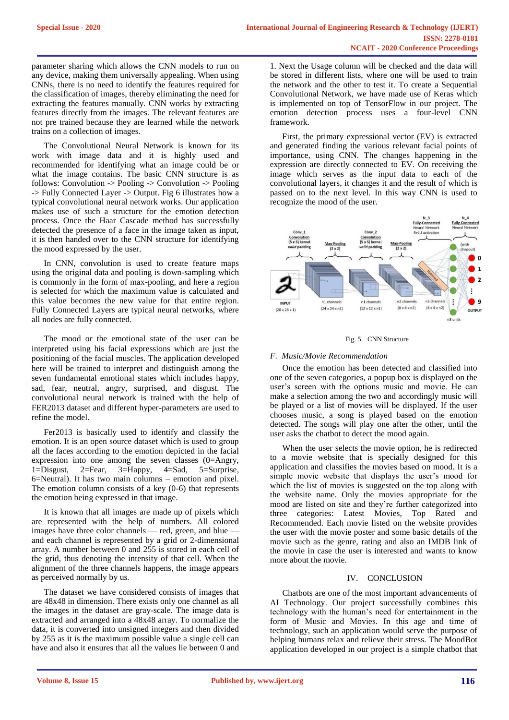parameter sharing which allows the CNN models to run on any device, making them universally appealing. When using CNNs, there is no need to identify the features required for the classification of images, thereby eliminating the need for extracting the features manually. CNN works by extracting features directly from the images. The relevant features are not pre trained because they are learned while the network trains on a collection of images.

The Convolutional Neural Network is known for its work with image data and it is highly used and recommended for identifying what an image could be or what the image contains. The basic CNN structure is as follows: Convolution -> Pooling -> Convolution -> Pooling -> Fully Connected Layer -> Output. Fig 6 illustrates how a typical convolutional neural network works. Our application makes use of such a structure for the emotion detection process. Once the Haar Cascade method has successfully detected the presence of a face in the image taken as input, it is then handed over to the CNN structure for identifying the mood expressed by the user.

In CNN, convolution is used to create feature maps using the original data and pooling is down-sampling which is commonly in the form of max-pooling, and here a region is selected for which the maximum value is calculated and this value becomes the new value for that entire region. Fully Connected Layers are typical neural networks, where all nodes are fully connected.

The mood or the emotional state of the user can be interpreted using his facial expressions which are just the positioning of the facial muscles. The application developed here will be trained to interpret and distinguish among the seven fundamental emotional states which includes happy, sad, fear, neutral, angry, surprised, and disgust. The convolutional neural network is trained with the help of FER2013 dataset and different hyper-parameters are used to refine the model.

Fer2013 is basically used to identify and classify the emotion. It is an open source dataset which is used to group all the faces according to the emotion depicted in the facial expression into one among the seven classes (0=Angry, 1=Disgust, 2=Fear, 3=Happy, 4=Sad, 5=Surprise, 6=Neutral). It has two main columns – emotion and pixel. The emotion column consists of a key (0-6) that represents the emotion being expressed in that image.

It is known that all images are made up of pixels which are represented with the help of numbers. All colored images have three color channels — red, green, and blue and each channel is represented by a grid or 2-dimensional array. A number between 0 and 255 is stored in each cell of the grid, thus denoting the intensity of that cell. When the alignment of the three channels happens, the image appears as perceived normally by us.

The dataset we have considered consists of images that are 48x48 in dimension. There exists only one channel as all the images in the dataset are gray-scale. The image data is extracted and arranged into a 48x48 array. To normalize the data, it is converted into unsigned integers and then divided by 255 as it is the maximum possible value a single cell can have and also it ensures that all the values lie between 0 and

1. Next the Usage column will be checked and the data will be stored in different lists, where one will be used to train the network and the other to test it. To create a Sequential Convolutional Network, we have made use of Keras which is implemented on top of TensorFlow in our project. The emotion detection process uses a four-level CNN framework.

First, the primary expressional vector (EV) is extracted and generated finding the various relevant facial points of importance, using CNN. The changes happening in the expression are directly connected to EV. On receiving the image which serves as the input data to each of the convolutional layers, it changes it and the result of which is passed on to the next level. In this way CNN is used to recognize the mood of the user.





### *F. Music/Movie Recommendation*

Once the emotion has been detected and classified into one of the seven categories, a popup box is displayed on the user's screen with the options music and movie. He can make a selection among the two and accordingly music will be played or a list of movies will be displayed. If the user chooses music, a song is played based on the emotion detected. The songs will play one after the other, until the user asks the chatbot to detect the mood again.

When the user selects the movie option, he is redirected to a movie website that is specially designed for this application and classifies the movies based on mood. It is a simple movie website that displays the user's mood for which the list of movies is suggested on the top along with the website name. Only the movies appropriate for the mood are listed on site and they're further categorized into three categories: Latest Movies, Top Rated and Recommended. Each movie listed on the website provides the user with the movie poster and some basic details of the movie such as the genre, rating and also an IMDB link of the movie in case the user is interested and wants to know more about the movie.

#### IV. CONCLUSION

Chatbots are one of the most important advancements of AI Technology. Our project successfully combines this technology with the human's need for entertainment in the form of Music and Movies. In this age and time of technology, such an application would serve the purpose of helping humans relax and relieve their stress. The MoodBot application developed in our project is a simple chatbot that